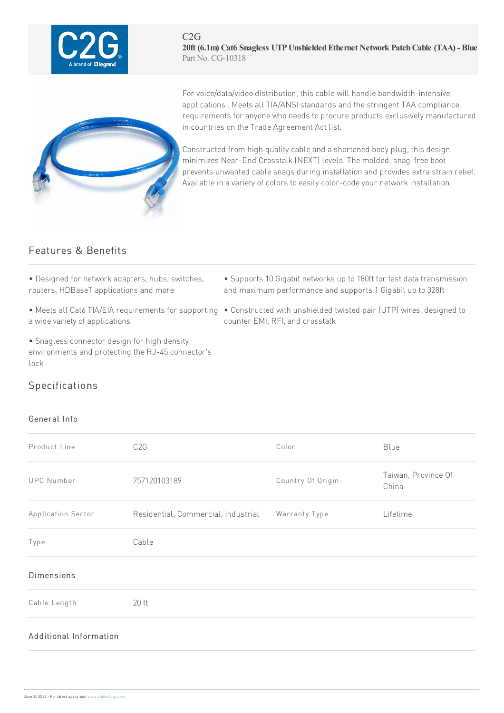



For voice/data/video distribution, this cable will handle bandwidth-intensive applications . Meets all TIA/ANSI standards and the stringent TAA compliance requirements for anyone who needs to procure products exclusively manufactured in countries on the Trade Agreement Act list.

Constructed from high quality cable and a shortened body plug, this design minimizes Near-End Crosstalk (NEXT) levels. The molded, snag-free boot prevents unwanted cable snags during installation and provides extra strain relief. Available in a variety of colors to easily color-code your network installation.

## Features & Benefits

- Designed for network adapters, hubs, switches, routers, HDBaseT applications and more
- a wide variety of applications
- Snagless connector design for high density environments and protecting the RJ-45 connector's lock
- Supports 10 Gigabit networks up to 180ft for fast data transmission and maximum performance and supports 1 Gigabit up to 328ft
- Meets all Cat6 TIA/EIA requirements for supporting Constructed with unshielded twisted pair (UTP) wires, designed to counter FMI, RFI, and crosstalk

## Specifications

## General Info

| Product Line           | C <sub>2</sub> G                                  | Color             | Blue                         |
|------------------------|---------------------------------------------------|-------------------|------------------------------|
| <b>UPC Number</b>      | 757120103189                                      | Country Of Origin | Taiwan, Province Of<br>China |
| Application Sector     | Residential, Commercial, Industrial Warranty Type |                   | Lifetime                     |
| Type                   | Cable                                             |                   |                              |
| <b>Dimensions</b>      |                                                   |                   |                              |
| Cable Length           | $20$ ft                                           |                   |                              |
| Additional Information |                                                   |                   |                              |